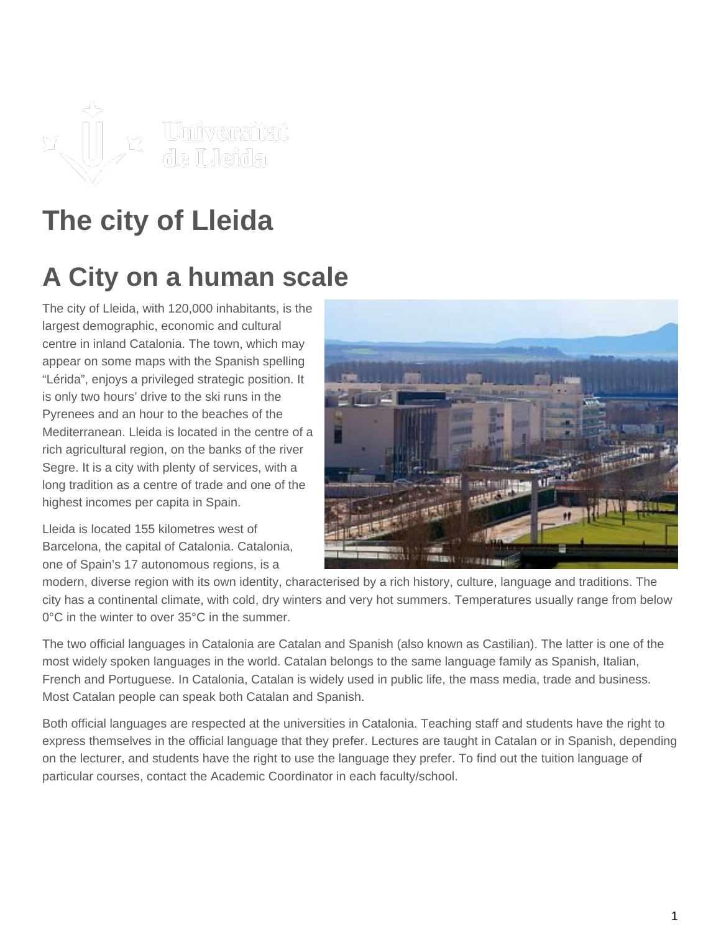

# **The city of Lleida**

# **A City on a human scale**

The city of Lleida, with 120,000 inhabitants, is the largest demographic, economic and cultural centre in inland Catalonia. The town, which may appear on some maps with the Spanish spelling "Lérida", enjoys a privileged strategic position. It is only two hours' drive to the ski runs in the Pyrenees and an hour to the beaches of the Mediterranean. Lleida is located in the centre of a rich agricultural region, on the banks of the river Segre. It is a city with plenty of services, with a long tradition as a centre of trade and one of the highest incomes per capita in Spain.

Lleida is located 155 kilometres west of Barcelona, the capital of Catalonia. Catalonia, one of Spain's 17 autonomous regions, is a



modern, diverse region with its own identity, characterised by a rich history, culture, language and traditions. The city has a continental climate, with cold, dry winters and very hot summers. Temperatures usually range from below 0°C in the winter to over 35°C in the summer.

The two official languages in Catalonia are Catalan and Spanish (also known as Castilian). The latter is one of the most widely spoken languages in the world. Catalan belongs to the same language family as Spanish, Italian, French and Portuguese. In Catalonia, Catalan is widely used in public life, the mass media, trade and business. Most Catalan people can speak both Catalan and Spanish.

Both official languages are respected at the universities in Catalonia. Teaching staff and students have the right to express themselves in the official language that they prefer. Lectures are taught in Catalan or in Spanish, depending on the lecturer, and students have the right to use the language they prefer. To find out the tuition language of particular courses, contact the Academic Coordinator in each faculty/school.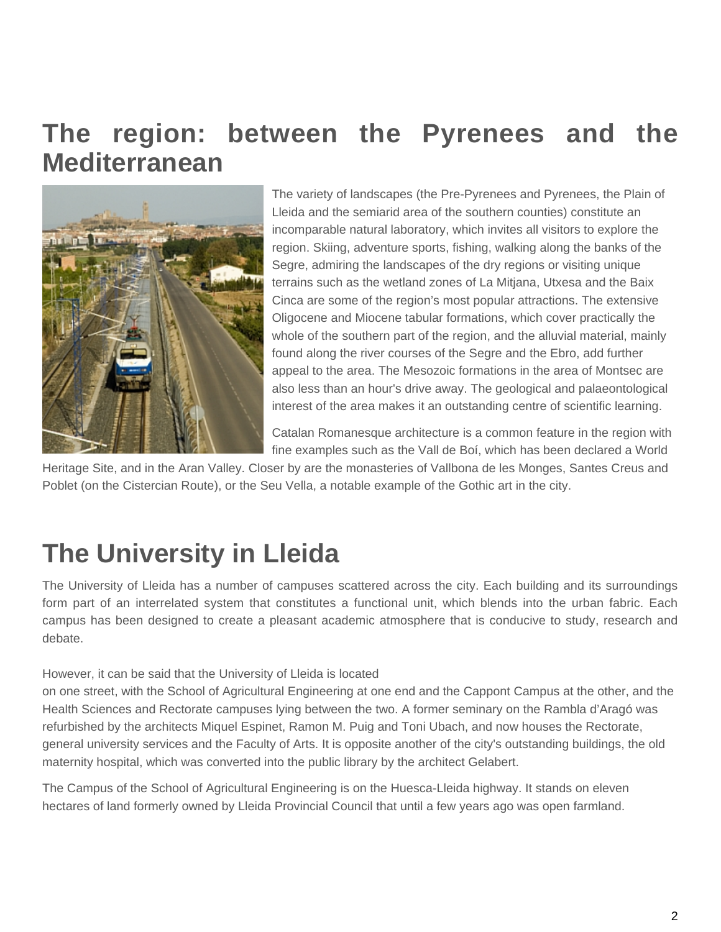### **The region: between the Pyrenees and the Mediterranean**



The variety of landscapes (the Pre-Pyrenees and Pyrenees, the Plain of Lleida and the semiarid area of the southern counties) constitute an incomparable natural laboratory, which invites all visitors to explore the region. Skiing, adventure sports, fishing, walking along the banks of the Segre, admiring the landscapes of the dry regions or visiting unique terrains such as the wetland zones of La Mitjana, Utxesa and the Baix Cinca are some of the region's most popular attractions. The extensive Oligocene and Miocene tabular formations, which cover practically the whole of the southern part of the region, and the alluvial material, mainly found along the river courses of the Segre and the Ebro, add further appeal to the area. The Mesozoic formations in the area of Montsec are also less than an hour's drive away. The geological and palaeontological interest of the area makes it an outstanding centre of scientific learning.

Catalan Romanesque architecture is a common feature in the region with fine examples such as the Vall de Boí, which has been declared a World

Heritage Site, and in the Aran Valley. Closer by are the monasteries of Vallbona de les Monges, Santes Creus and Poblet (on the Cistercian Route), or the Seu Vella, a notable example of the Gothic art in the city.

## **The University in Lleida**

The University of Lleida has a number of campuses scattered across the city. Each building and its surroundings form part of an interrelated system that constitutes a functional unit, which blends into the urban fabric. Each campus has been designed to create a pleasant academic atmosphere that is conducive to study, research and debate.

#### However, it can be said that the University of Lleida is located

on one street, with the School of Agricultural Engineering at one end and the Cappont Campus at the other, and the Health Sciences and Rectorate campuses lying between the two. A former seminary on the Rambla d'Aragó was refurbished by the architects Miquel Espinet, Ramon M. Puig and Toni Ubach, and now houses the Rectorate, general university services and the Faculty of Arts. It is opposite another of the city's outstanding buildings, the old maternity hospital, which was converted into the public library by the architect Gelabert.

The Campus of the School of Agricultural Engineering is on the Huesca-Lleida highway. It stands on eleven hectares of land formerly owned by Lleida Provincial Council that until a few years ago was open farmland.